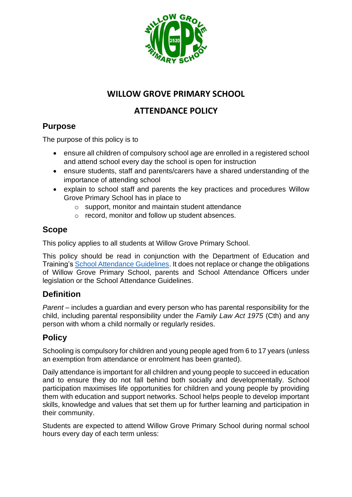

# **WILLOW GROVE PRIMARY SCHOOL**

# **ATTENDANCE POLICY**

# **Purpose**

The purpose of this policy is to

- ensure all children of compulsory school age are enrolled in a registered school and attend school every day the school is open for instruction
- ensure students, staff and parents/carers have a shared understanding of the importance of attending school
- explain to school staff and parents the key practices and procedures Willow Grove Primary School has in place to
	- o support, monitor and maintain student attendance
	- o record, monitor and follow up student absences.

## **Scope**

This policy applies to all students at Willow Grove Primary School.

This policy should be read in conjunction with the Department of Education and Training's [School Attendance Guidelines.](https://www2.education.vic.gov.au/pal/attendance/guidance) It does not replace or change the obligations of Willow Grove Primary School, parents and School Attendance Officers under legislation or the School Attendance Guidelines.

# **Definition**

*Parent* – includes a guardian and every person who has parental responsibility for the child, including parental responsibility under the *Family Law Act 1975* (Cth) and any person with whom a child normally or regularly resides.

# **Policy**

Schooling is compulsory for children and young people aged from 6 to 17 years (unless an exemption from attendance or enrolment has been granted).

Daily attendance is important for all children and young people to succeed in education and to ensure they do not fall behind both socially and developmentally. School participation maximises life opportunities for children and young people by providing them with education and support networks. School helps people to develop important skills, knowledge and values that set them up for further learning and participation in their community.

Students are expected to attend Willow Grove Primary School during normal school hours every day of each term unless: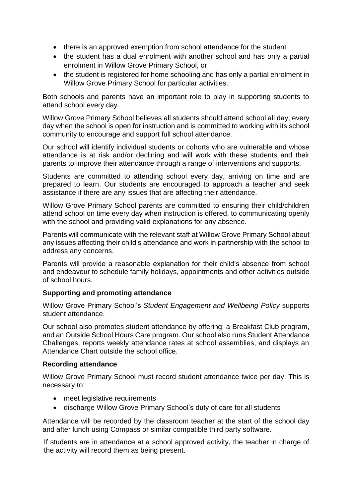- there is an approved exemption from school attendance for the student
- the student has a dual enrolment with another school and has only a partial enrolment in Willow Grove Primary School, or
- the student is registered for home schooling and has only a partial enrolment in Willow Grove Primary School for particular activities.

Both schools and parents have an important role to play in supporting students to attend school every day.

Willow Grove Primary School believes all students should attend school all day, every day when the school is open for instruction and is committed to working with its school community to encourage and support full school attendance.

Our school will identify individual students or cohorts who are vulnerable and whose attendance is at risk and/or declining and will work with these students and their parents to improve their attendance through a range of interventions and supports.

Students are committed to attending school every day, arriving on time and are prepared to learn. Our students are encouraged to approach a teacher and seek assistance if there are any issues that are affecting their attendance.

Willow Grove Primary School parents are committed to ensuring their child/children attend school on time every day when instruction is offered, to communicating openly with the school and providing valid explanations for any absence.

Parents will communicate with the relevant staff at Willow Grove Primary School about any issues affecting their child's attendance and work in partnership with the school to address any concerns.

Parents will provide a reasonable explanation for their child's absence from school and endeavour to schedule family holidays, appointments and other activities outside of school hours.

#### **Supporting and promoting attendance**

Willow Grove Primary School's *Student Engagement and Wellbeing Policy* supports student attendance.

Our school also promotes student attendance by offering: a Breakfast Club program, and an Outside School Hours Care program. Our school also runs Student Attendance Challenges, reports weekly attendance rates at school assemblies, and displays an Attendance Chart outside the school office.

#### **Recording attendance**

Willow Grove Primary School must record student attendance twice per day. This is necessary to:

- meet legislative requirements
- discharge Willow Grove Primary School's duty of care for all students

Attendance will be recorded by the classroom teacher at the start of the school day and after lunch using Compass or similar compatible third party software.

If students are in attendance at a school approved activity, the teacher in charge of the activity will record them as being present.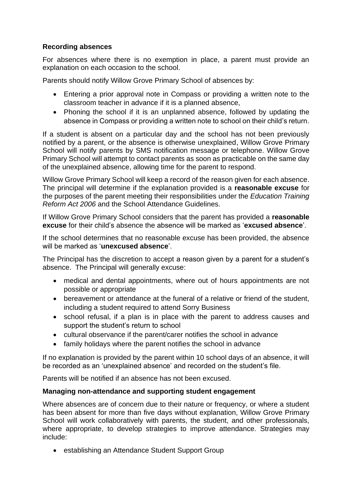## **Recording absences**

For absences where there is no exemption in place, a parent must provide an explanation on each occasion to the school.

Parents should notify Willow Grove Primary School of absences by:

- Entering a prior approval note in Compass or providing a written note to the classroom teacher in advance if it is a planned absence,
- Phoning the school if it is an unplanned absence, followed by updating the absence in Compass or providing a written note to school on their child's return.

If a student is absent on a particular day and the school has not been previously notified by a parent, or the absence is otherwise unexplained, Willow Grove Primary School will notify parents by SMS notification message or telephone. Willow Grove Primary School will attempt to contact parents as soon as practicable on the same day of the unexplained absence, allowing time for the parent to respond.

Willow Grove Primary School will keep a record of the reason given for each absence. The principal will determine if the explanation provided is a **reasonable excuse** for the purposes of the parent meeting their responsibilities under the *Education Training Reform Act 2006* and the School Attendance Guidelines.

If Willow Grove Primary School considers that the parent has provided a **reasonable excuse** for their child's absence the absence will be marked as '**excused absence**'.

If the school determines that no reasonable excuse has been provided, the absence will be marked as '**unexcused absence**'.

The Principal has the discretion to accept a reason given by a parent for a student's absence. The Principal will generally excuse:

- medical and dental appointments, where out of hours appointments are not possible or appropriate
- bereavement or attendance at the funeral of a relative or friend of the student, including a student required to attend Sorry Business
- school refusal, if a plan is in place with the parent to address causes and support the student's return to school
- cultural observance if the parent/carer notifies the school in advance
- family holidays where the parent notifies the school in advance

If no explanation is provided by the parent within 10 school days of an absence, it will be recorded as an 'unexplained absence' and recorded on the student's file.

Parents will be notified if an absence has not been excused.

## **Managing non-attendance and supporting student engagement**

Where absences are of concern due to their nature or frequency, or where a student has been absent for more than five days without explanation, Willow Grove Primary School will work collaboratively with parents, the student, and other professionals, where appropriate, to develop strategies to improve attendance. Strategies may include:

• establishing an Attendance Student Support Group